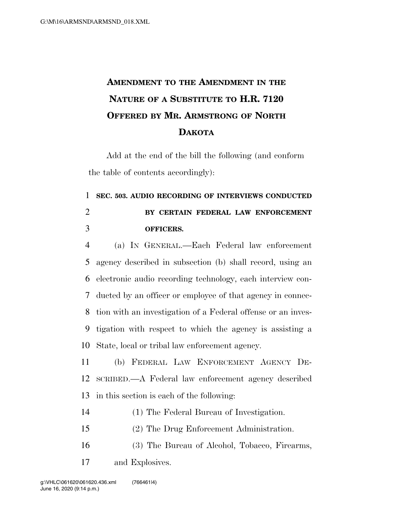## **AMENDMENT TO THE AMENDMENT IN THE NATURE OF A SUBSTITUTE TO H.R. 7120 OFFERED BY MR. ARMSTRONG OF NORTH DAKOTA**

Add at the end of the bill the following (and conform the table of contents accordingly):

## **SEC. 503. AUDIO RECORDING OF INTERVIEWS CONDUCTED BY CERTAIN FEDERAL LAW ENFORCEMENT OFFICERS.**

 (a) IN GENERAL.—Each Federal law enforcement agency described in subsection (b) shall record, using an electronic audio recording technology, each interview con- ducted by an officer or employee of that agency in connec- tion with an investigation of a Federal offense or an inves- tigation with respect to which the agency is assisting a State, local or tribal law enforcement agency.

 (b) FEDERAL LAW ENFORCEMENT AGENCY DE- SCRIBED.—A Federal law enforcement agency described in this section is each of the following:

- (1) The Federal Bureau of Investigation.
- (2) The Drug Enforcement Administration.
- (3) The Bureau of Alcohol, Tobacco, Firearms, and Explosives.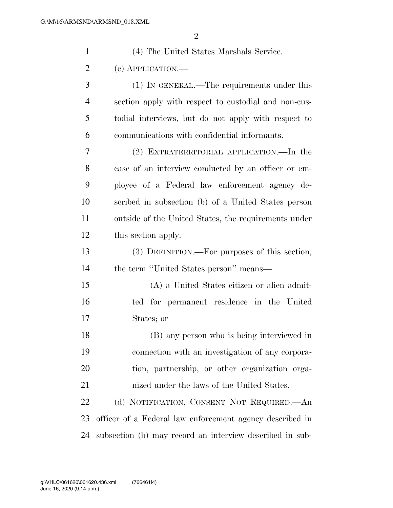| $\mathbf{1}$   | (4) The United States Marshals Service.                  |
|----------------|----------------------------------------------------------|
| $\overline{2}$ | (c) APPLICATION.—                                        |
| 3              | (1) IN GENERAL.—The requirements under this              |
| 4              | section apply with respect to custodial and non-cus-     |
| 5              | todial interviews, but do not apply with respect to      |
| 6              | communications with confidential informants.             |
| 7              | (2) EXTRATERRITORIAL APPLICATION.—In the                 |
| 8              | case of an interview conducted by an officer or em-      |
| 9              | ployee of a Federal law enforcement agency de-           |
| 10             | scribed in subsection (b) of a United States person      |
| 11             | outside of the United States, the requirements under     |
| 12             | this section apply.                                      |
| 13             | (3) DEFINITION.—For purposes of this section,            |
| 14             | the term "United States person" means—                   |
| 15             | (A) a United States citizen or alien admit-              |
| 16             | ted for permanent residence in the United                |
| 17             | States; or                                               |
| 18             | (B) any person who is being interviewed in               |
| 19             | connection with an investigation of any corpora-         |
| 20             | tion, partnership, or other organization orga-           |
| 21             | nized under the laws of the United States.               |
| 22             | (d) NOTIFICATION, CONSENT NOT REQUIRED.—An               |
| 23             | officer of a Federal law enforcement agency described in |
| 24             | subsection (b) may record an interview described in sub- |